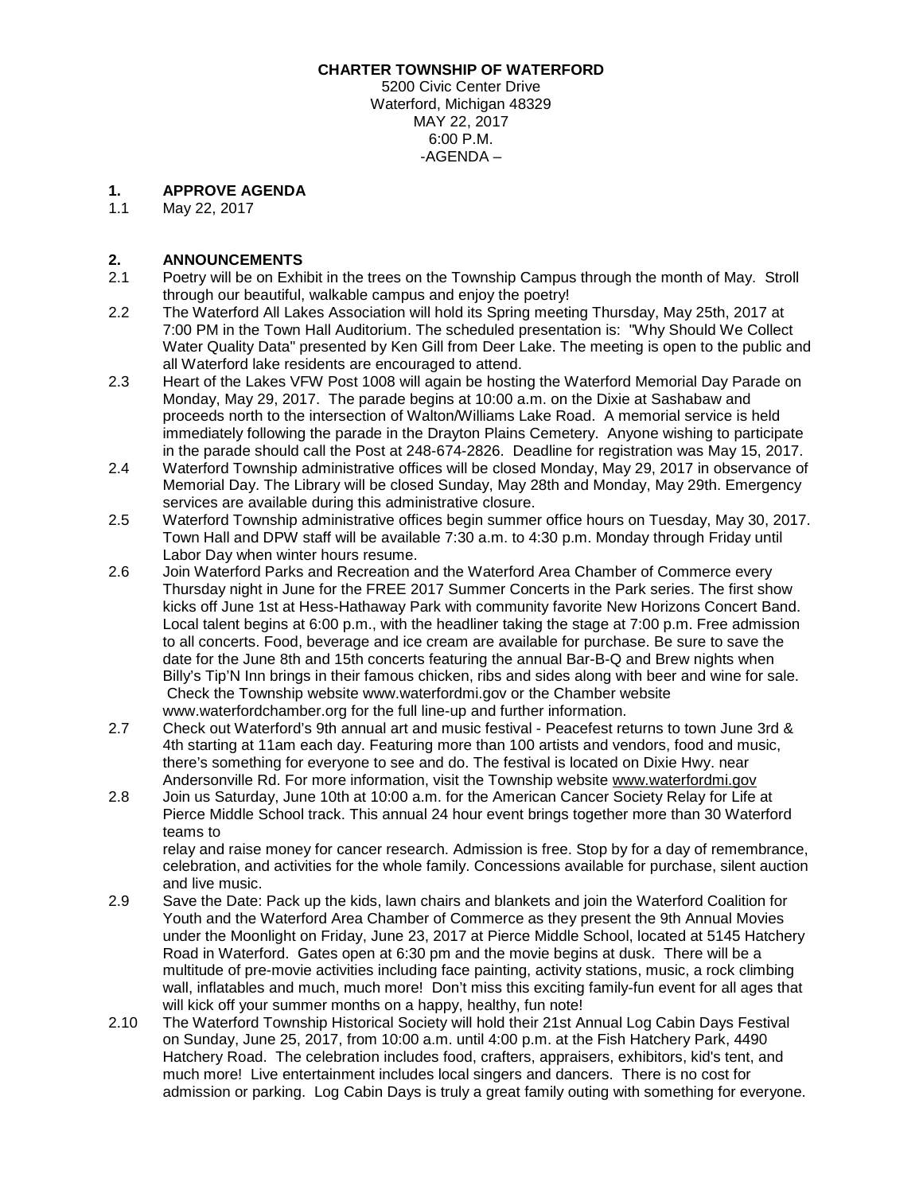## **CHARTER TOWNSHIP OF WATERFORD**

5200 Civic Center Drive Waterford, Michigan 48329 MAY 22, 2017 6:00 P.M. -AGENDA –

# **1. APPROVE AGENDA**

May 22, 2017

## **2. ANNOUNCEMENTS**

- 2.1 Poetry will be on Exhibit in the trees on the Township Campus through the month of May. Stroll through our beautiful, walkable campus and enjoy the poetry!
- 2.2 The Waterford All Lakes Association will hold its Spring meeting Thursday, May 25th, 2017 at 7:00 PM in the Town Hall Auditorium. The scheduled presentation is: "Why Should We Collect Water Quality Data" presented by Ken Gill from Deer Lake. The meeting is open to the public and all Waterford lake residents are encouraged to attend.
- 2.3 Heart of the Lakes VFW Post 1008 will again be hosting the Waterford Memorial Day Parade on Monday, May 29, 2017. The parade begins at 10:00 a.m. on the Dixie at Sashabaw and proceeds north to the intersection of Walton/Williams Lake Road. A memorial service is held immediately following the parade in the Drayton Plains Cemetery. Anyone wishing to participate in the parade should call the Post at 248-674-2826. Deadline for registration was May 15, 2017.
- 2.4 Waterford Township administrative offices will be closed Monday, May 29, 2017 in observance of Memorial Day. The Library will be closed Sunday, May 28th and Monday, May 29th. Emergency services are available during this administrative closure.
- 2.5 Waterford Township administrative offices begin summer office hours on Tuesday, May 30, 2017. Town Hall and DPW staff will be available 7:30 a.m. to 4:30 p.m. Monday through Friday until Labor Day when winter hours resume.
- 2.6 Join Waterford Parks and Recreation and the Waterford Area Chamber of Commerce every Thursday night in June for the FREE 2017 Summer Concerts in the Park series. The first show kicks off June 1st at Hess-Hathaway Park with community favorite New Horizons Concert Band. Local talent begins at 6:00 p.m., with the headliner taking the stage at 7:00 p.m. Free admission to all concerts. Food, beverage and ice cream are available for purchase. Be sure to save the date for the June 8th and 15th concerts featuring the annual Bar-B-Q and Brew nights when Billy's Tip'N Inn brings in their famous chicken, ribs and sides along with beer and wine for sale. Check the Township website www.waterfordmi.gov or the Chamber website www.waterfordchamber.org for the full line-up and further information.
- 2.7 Check out Waterford's 9th annual art and music festival Peacefest returns to town June 3rd & 4th starting at 11am each day. Featuring more than 100 artists and vendors, food and music, there's something for everyone to see and do. The festival is located on Dixie Hwy. near Andersonville Rd. For more information, visit the Township website [www.waterfordmi.gov](http://www.waterfordmi.gov/)
- 2.8 Join us Saturday, June 10th at 10:00 a.m. for the American Cancer Society Relay for Life at Pierce Middle School track. This annual 24 hour event brings together more than 30 Waterford teams to

relay and raise money for cancer research. Admission is free. Stop by for a day of remembrance, celebration, and activities for the whole family. Concessions available for purchase, silent auction and live music.

- 2.9 Save the Date: Pack up the kids, lawn chairs and blankets and join the Waterford Coalition for Youth and the Waterford Area Chamber of Commerce as they present the 9th Annual Movies under the Moonlight on Friday, June 23, 2017 at Pierce Middle School, located at 5145 Hatchery Road in Waterford. Gates open at 6:30 pm and the movie begins at dusk. There will be a multitude of pre-movie activities including face painting, activity stations, music, a rock climbing wall, inflatables and much, much more! Don't miss this exciting family-fun event for all ages that will kick off your summer months on a happy, healthy, fun note!
- 2.10 The Waterford Township Historical Society will hold their 21st Annual Log Cabin Days Festival on Sunday, June 25, 2017, from 10:00 a.m. until 4:00 p.m. at the Fish Hatchery Park, 4490 Hatchery Road. The celebration includes food, crafters, appraisers, exhibitors, kid's tent, and much more! Live entertainment includes local singers and dancers. There is no cost for admission or parking. Log Cabin Days is truly a great family outing with something for everyone.